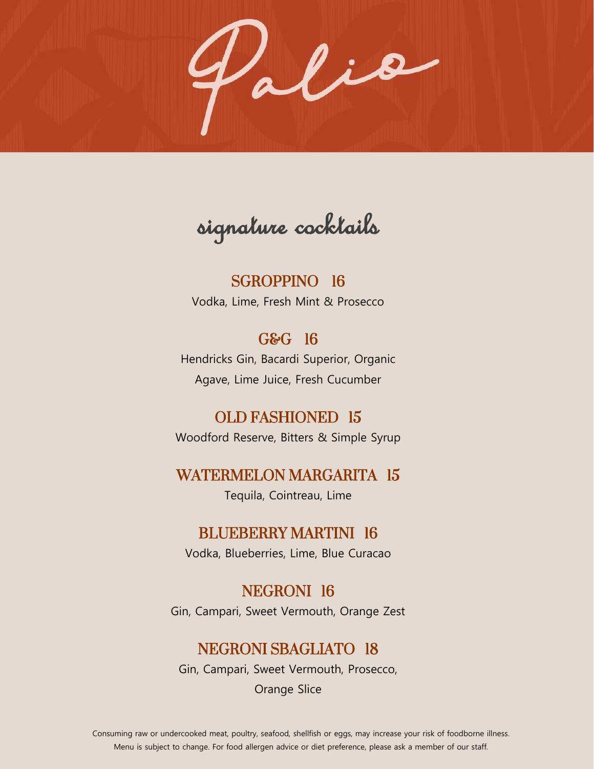Palia

signature cocktails

SGROPPINO 16 Vodka, Lime, Fresh Mint & Prosecco

## G&G 16

Hendricks Gin, Bacardi Superior, Organic Agave, Lime Juice, Fresh Cucumber

## OLD FASHIONED 15

Woodford Reserve, Bitters & Simple Syrup

### WATERMELON MARGARITA 15

Tequila, Cointreau, Lime

### BLUEBERRY MARTINI 16

Vodka, Blueberries, Lime, Blue Curacao

#### NEGRONI 16

Gin, Campari, Sweet Vermouth, Orange Zest

### NEGRONI SBAGLIATO 18

Gin, Campari, Sweet Vermouth, Prosecco,

Orange Slice

Consuming raw or undercooked meat, poultry, seafood, shellfish or eggs, may increase your risk of foodborne illness. Menu is subject to change. For food allergen advice or diet preference, please ask a member of our staff.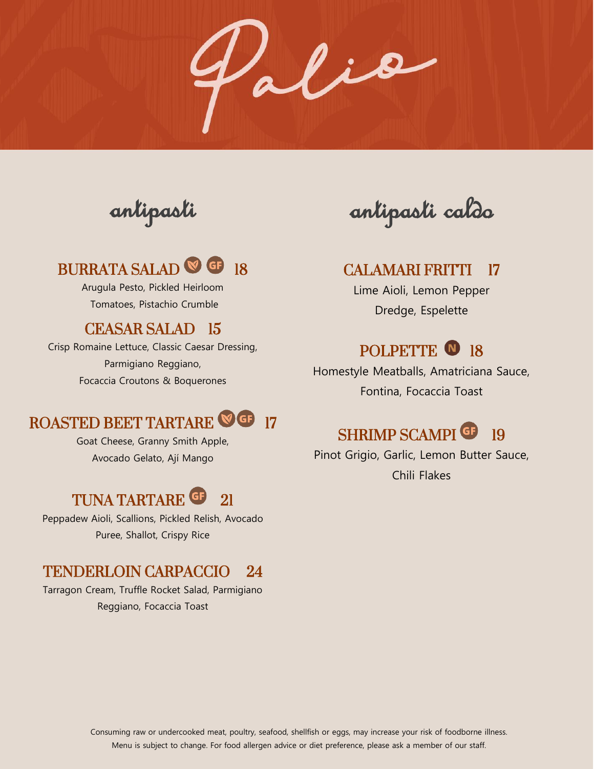Palia

antipasti

# BURRATA SALAD<sup>®</sup> <sup>18</sup>

Arugula Pesto, Pickled Heirloom Tomatoes, Pistachio Crumble

### CEASAR SALAD 15

Crisp Romaine Lettuce, Classic Caesar Dressing, Parmigiano Reggiano, Focaccia Croutons & Boquerones

# ROASTED BEET TARTARE **OG** 17

Goat Cheese, Granny Smith Apple, Avocado Gelato, Ají Mango

# TUNA TARTARE <sup>G</sup> 21

Peppadew Aioli, Scallions, Pickled Relish, Avocado Puree, Shallot, Crispy Rice

### TENDERLOIN CARPACCIO 24

Tarragon Cream, Truffle Rocket Salad, Parmigiano Reggiano, Focaccia Toast

antipasti caldo

#### CALAMARI FRITTI 17

Lime Aioli, Lemon Pepper Dredge, Espelette

## POLPETTE <sup>0</sup> 18

Homestyle Meatballs, Amatriciana Sauce, Fontina, Focaccia Toast

# SHRIMP SCAMPI<sup>G</sup> 19

Pinot Grigio, Garlic, Lemon Butter Sauce, Chili Flakes

Consuming raw or undercooked meat, poultry, seafood, shellfish or eggs, may increase your risk of foodborne illness. Menu is subject to change. For food allergen advice or diet preference, please ask a member of our staff.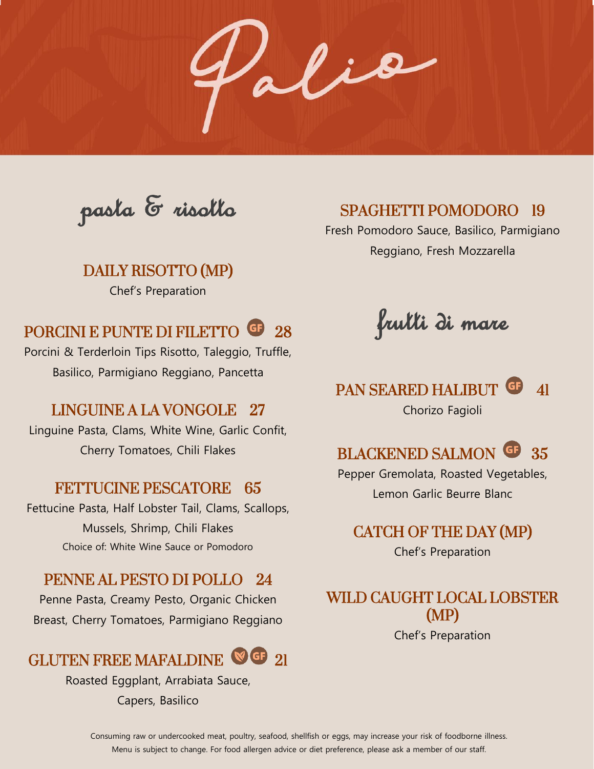alio

pasta & risotto

DAILY RISOTTO (MP) Chef's Preparation

# PORCINI E PUNTE DI FILETTO **G**<sup>28</sup>

Porcini & Terderloin Tips Risotto, Taleggio, Truffle, Basilico, Parmigiano Reggiano, Pancetta

### LINGUINE A LA VONGOLE 27

Linguine Pasta, Clams, White Wine, Garlic Confit, Cherry Tomatoes, Chili Flakes

### FETTUCINE PESCATORE 65

Fettucine Pasta, Half Lobster Tail, Clams, Scallops, Mussels, Shrimp, Chili Flakes Choice of: White Wine Sauce or Pomodoro

### PENNE AL PESTO DI POLLO 24

Penne Pasta, Creamy Pesto, Organic Chicken Breast, Cherry Tomatoes, Parmigiano Reggiano

# GLUTEN FREE MAFALDINE **SG** 21

Roasted Eggplant, Arrabiata Sauce, Capers, Basilico

## SPAGHETTI POMODORO 19

Fresh Pomodoro Sauce, Basilico, Parmigiano Reggiano, Fresh Mozzarella

frutti di mare

## PAN SEARED HALIBUT GF 41 Chorizo Fagioli



Pepper Gremolata, Roasted Vegetables, Lemon Garlic Beurre Blanc

CATCH OF THE DAY (MP)

Chef's Preparation

# WILD CAUGHT LOCAL LOBSTER (MP)

Chef's Preparation

Consuming raw or undercooked meat, poultry, seafood, shellfish or eggs, may increase your risk of foodborne illness. Menu is subject to change. For food allergen advice or diet preference, please ask a member of our staff.